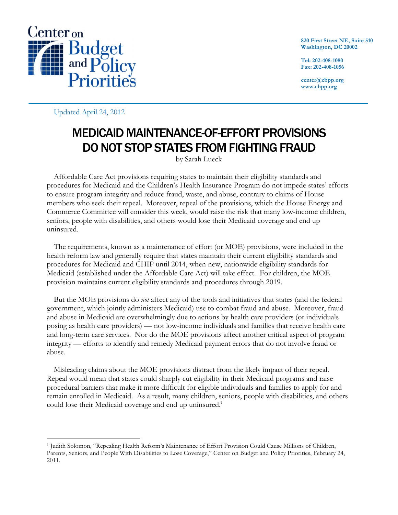

**820 First Street NE, Suite 510 Washington, DC 20002**

**Tel: 202-408-1080 Fax: 202-408-1056**

**center@cbpp.org www.cbpp.org**

Updated April 24, 2012

# MEDICAID MAINTENANCE-OF-EFFORT PROVISIONS DO NOT STOP STATES FROM FIGHTING FRAUD

by Sarah Lueck

Affordable Care Act provisions requiring states to maintain their eligibility standards and procedures for Medicaid and the Children's Health Insurance Program do not impede states' efforts to ensure program integrity and reduce fraud, waste, and abuse, contrary to claims of House members who seek their repeal. Moreover, repeal of the provisions, which the House Energy and Commerce Committee will consider this week, would raise the risk that many low-income children, seniors, people with disabilities, and others would lose their Medicaid coverage and end up uninsured.

The requirements, known as a maintenance of effort (or MOE) provisions, were included in the health reform law and generally require that states maintain their current eligibility standards and procedures for Medicaid and CHIP until 2014, when new, nationwide eligibility standards for Medicaid (established under the Affordable Care Act) will take effect. For children, the MOE provision maintains current eligibility standards and procedures through 2019.

But the MOE provisions do *not* affect any of the tools and initiatives that states (and the federal government, which jointly administers Medicaid) use to combat fraud and abuse. Moreover, fraud and abuse in Medicaid are overwhelmingly due to actions by health care providers (or individuals posing as health care providers) — not low-income individuals and families that receive health care and long-term care services. Nor do the MOE provisions affect another critical aspect of program integrity — efforts to identify and remedy Medicaid payment errors that do not involve fraud or abuse.

Misleading claims about the MOE provisions distract from the likely impact of their repeal. Repeal would mean that states could sharply cut eligibility in their Medicaid programs and raise procedural barriers that make it more difficult for eligible individuals and families to apply for and remain enrolled in Medicaid. As a result, many children, seniors, people with disabilities, and others could lose their Medicaid coverage and end up uninsured.<sup>1</sup>

 <sup>1</sup> Judith Solomon, "Repealing Health Reform's Maintenance of Effort Provision Could Cause Millions of Children, Parents, Seniors, and People With Disabilities to Lose Coverage," Center on Budget and Policy Priorities, February 24, 2011.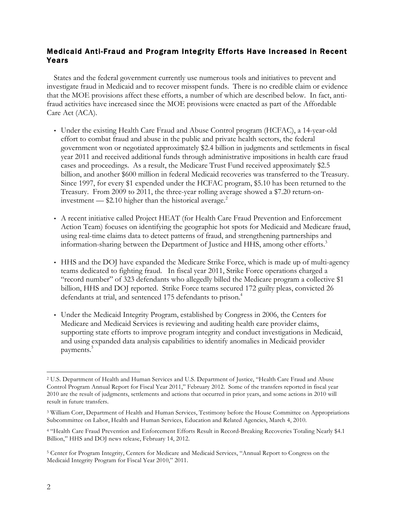## Medicaid Anti-Fraud and Program Integrity Efforts Have Increased in Recent Years

States and the federal government currently use numerous tools and initiatives to prevent and investigate fraud in Medicaid and to recover misspent funds. There is no credible claim or evidence that the MOE provisions affect these efforts, a number of which are described below. In fact, antifraud activities have increased since the MOE provisions were enacted as part of the Affordable Care Act (ACA).

- Under the existing Health Care Fraud and Abuse Control program (HCFAC), a 14-year-old effort to combat fraud and abuse in the public and private health sectors, the federal government won or negotiated approximately \$2.4 billion in judgments and settlements in fiscal year 2011 and received additional funds through administrative impositions in health care fraud cases and proceedings. As a result, the Medicare Trust Fund received approximately \$2.5 billion, and another \$600 million in federal Medicaid recoveries was transferred to the Treasury. Since 1997, for every \$1 expended under the HCFAC program, \$5.10 has been returned to the Treasury. From 2009 to 2011, the three-year rolling average showed a \$7.20 return-oninvestment  $-$  \$2.10 higher than the historical average.<sup>2</sup>
- A recent initiative called Project HEAT (for Health Care Fraud Prevention and Enforcement Action Team) focuses on identifying the geographic hot spots for Medicaid and Medicare fraud, using real-time claims data to detect patterns of fraud, and strengthening partnerships and information-sharing between the Department of Justice and HHS, among other efforts. $3$
- HHS and the DOJ have expanded the Medicare Strike Force, which is made up of multi-agency teams dedicated to fighting fraud. In fiscal year 2011, Strike Force operations charged a "record number" of 323 defendants who allegedly billed the Medicare program a collective \$1 billion, HHS and DOJ reported. Strike Force teams secured 172 guilty pleas, convicted 26 defendants at trial, and sentenced 175 defendants to prison.<sup>4</sup>
- Under the Medicaid Integrity Program, established by Congress in 2006, the Centers for Medicare and Medicaid Services is reviewing and auditing health care provider claims, supporting state efforts to improve program integrity and conduct investigations in Medicaid, and using expanded data analysis capabilities to identify anomalies in Medicaid provider payments. 5

 <sup>2</sup> U.S. Department of Health and Human Services and U.S. Department of Justice, "Health Care Fraud and Abuse Control Program Annual Report for Fiscal Year 2011," February 2012. Some of the transfers reported in fiscal year 2010 are the result of judgments, settlements and actions that occurred in prior years, and some actions in 2010 will result in future transfers.

<sup>3</sup> William Corr, Department of Health and Human Services, Testimony before the House Committee on Appropriations Subcommittee on Labor, Health and Human Services, Education and Related Agencies, March 4, 2010.

<sup>4</sup> "Health Care Fraud Prevention and Enforcement Efforts Result in Record-Breaking Recoveries Totaling Nearly \$4.1 Billion," HHS and DOJ news release, February 14, 2012.

<sup>5</sup> Center for Program Integrity, Centers for Medicare and Medicaid Services, "Annual Report to Congress on the Medicaid Integrity Program for Fiscal Year 2010," 2011.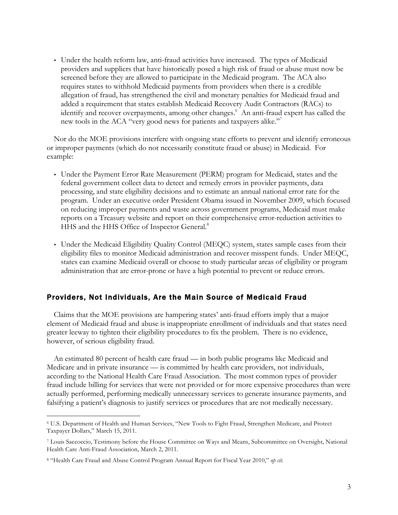• Under the health reform law, anti-fraud activities have increased. The types of Medicaid providers and suppliers that have historically posed a high risk of fraud or abuse must now be screened before they are allowed to participate in the Medicaid program. The ACA also requires states to withhold Medicaid payments from providers when there is a credible allegation of fraud, has strengthened the civil and monetary penalties for Medicaid fraud and added a requirement that states establish Medicaid Recovery Audit Contractors (RACs) to identify and recover overpayments, among other changes.<sup>6</sup> An anti-fraud expert has called the new tools in the ACA "very good news for patients and taxpayers alike."

Nor do the MOE provisions interfere with ongoing state efforts to prevent and identify erroneous or improper payments (which do not necessarily constitute fraud or abuse) in Medicaid. For example:

- Under the Payment Error Rate Measurement (PERM) program for Medicaid, states and the federal government collect data to detect and remedy errors in provider payments, data processing, and state eligibility decisions and to estimate an annual national error rate for the program. Under an executive order President Obama issued in November 2009, which focused on reducing improper payments and waste across government programs, Medicaid must make reports on a Treasury website and report on their comprehensive error-reduction activities to HHS and the HHS Office of Inspector General.<sup>8</sup>
- Under the Medicaid Eligibility Quality Control (MEQC) system, states sample cases from their eligibility files to monitor Medicaid administration and recover misspent funds. Under MEQC, states can examine Medicaid overall or choose to study particular areas of eligibility or program administration that are error-prone or have a high potential to prevent or reduce errors.

#### Providers, Not Individuals, Are the Main Source of Medicaid Fraud

Claims that the MOE provisions are hampering states' anti-fraud efforts imply that a major element of Medicaid fraud and abuse is inappropriate enrollment of individuals and that states need greater leeway to tighten their eligibility procedures to fix the problem. There is no evidence, however, of serious eligibility fraud.

An estimated 80 percent of health care fraud — in both public programs like Medicaid and Medicare and in private insurance — is committed by health care providers, not individuals, according to the National Health Care Fraud Association. The most common types of provider fraud include billing for services that were not provided or for more expensive procedures than were actually performed, performing medically unnecessary services to generate insurance payments, and falsifying a patient's diagnosis to justify services or procedures that are not medically necessary.

 <sup>6</sup> U.S. Department of Health and Human Services, "New Tools to Fight Fraud, Strengthen Medicare, and Protect Taxpayer Dollars," March 15, 2011.

<sup>7</sup> Louis Saccoccio, Testimony before the House Committee on Ways and Means, Subcommittee on Oversight, National Health Care Anti-Fraud Association, March 2, 2011.

<sup>8</sup> "Health Care Fraud and Abuse Control Program Annual Report for Fiscal Year 2010," *op cit*.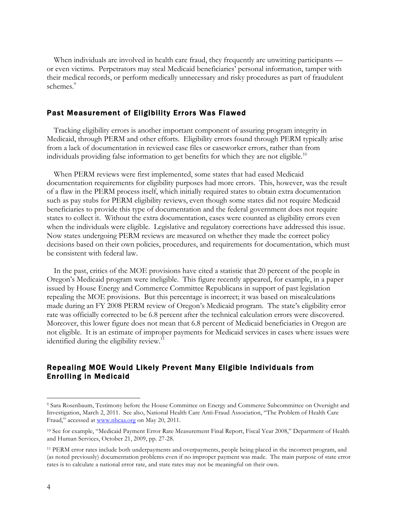When individuals are involved in health care fraud, they frequently are unwitting participants or even victims. Perpetrators may steal Medicaid beneficiaries' personal information, tamper with their medical records, or perform medically unnecessary and risky procedures as part of fraudulent schemes.<sup>9</sup>

#### Past Measurement of Eligibility Errors Was Flawed

Tracking eligibility errors is another important component of assuring program integrity in Medicaid, through PERM and other efforts. Eligibility errors found through PERM typically arise from a lack of documentation in reviewed case files or caseworker errors, rather than from individuals providing false information to get benefits for which they are not eligible.<sup>10</sup>

When PERM reviews were first implemented, some states that had eased Medicaid documentation requirements for eligibility purposes had more errors. This, however, was the result of a flaw in the PERM process itself, which initially required states to obtain extra documentation such as pay stubs for PERM eligibility reviews, even though some states did not require Medicaid beneficiaries to provide this type of documentation and the federal government does not require states to collect it. Without the extra documentation, cases were counted as eligibility errors even when the individuals were eligible. Legislative and regulatory corrections have addressed this issue. Now states undergoing PERM reviews are measured on whether they made the correct policy decisions based on their own policies, procedures, and requirements for documentation, which must be consistent with federal law.

In the past, critics of the MOE provisions have cited a statistic that 20 percent of the people in Oregon's Medicaid program were ineligible. This figure recently appeared, for example, in a paper issued by House Energy and Commerce Committee Republicans in support of past legislation repealing the MOE provisions. But this percentage is incorrect; it was based on miscalculations made during an FY 2008 PERM review of Oregon's Medicaid program. The state's eligibility error rate was officially corrected to be 6.8 percent after the technical calculation errors were discovered. Moreover, this lower figure does not mean that 6.8 percent of Medicaid beneficiaries in Oregon are not eligible. It is an estimate of improper payments for Medicaid services in cases where issues were identified during the eligibility review.<sup>11</sup>

### Repealing MOE Would Likely Prevent Many Eligible Individuals from Enrolling in Medicaid

 <sup>9</sup> Sara Rosenbaum, Testimony before the House Committee on Energy and Commerce Subcommittee on Oversight and Investigation, March 2, 2011. See also, National Health Care Anti-Fraud Association, "The Problem of Health Care Fraud," accessed at www.nhcaa.org on May 20, 2011.

<sup>10</sup> See for example, "Medicaid Payment Error Rate Measurement Final Report, Fiscal Year 2008," Department of Health and Human Services, October 21, 2009, pp. 27-28.

<sup>11</sup> PERM error rates include both underpayments and overpayments, people being placed in the incorrect program, and (as noted previously) documentation problems even if no improper payment was made. The main purpose of state error rates is to calculate a national error rate, and state rates may not be meaningful on their own.